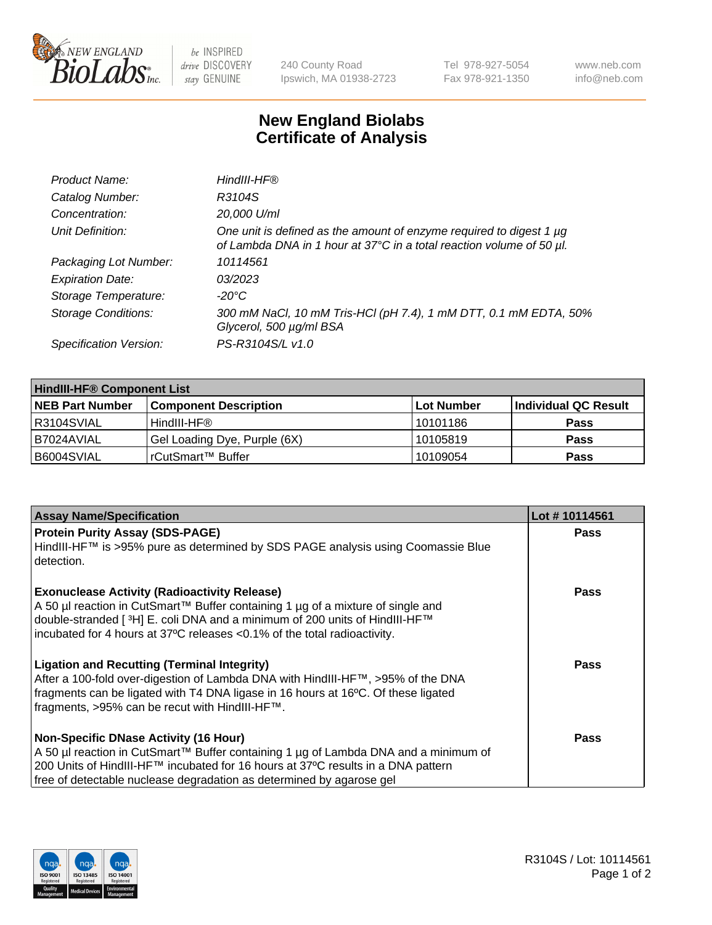

 $be$  INSPIRED drive DISCOVERY stay GENUINE

240 County Road Ipswich, MA 01938-2723 Tel 978-927-5054 Fax 978-921-1350 www.neb.com info@neb.com

## **New England Biolabs Certificate of Analysis**

| Product Name:              | HindIII-HF®                                                                                                                                      |
|----------------------------|--------------------------------------------------------------------------------------------------------------------------------------------------|
| Catalog Number:            | R3104S                                                                                                                                           |
| Concentration:             | 20,000 U/ml                                                                                                                                      |
| Unit Definition:           | One unit is defined as the amount of enzyme required to digest 1 $\mu$ g<br>of Lambda DNA in 1 hour at 37°C in a total reaction volume of 50 µl. |
| Packaging Lot Number:      | 10114561                                                                                                                                         |
| <b>Expiration Date:</b>    | 03/2023                                                                                                                                          |
| Storage Temperature:       | $-20^{\circ}$ C                                                                                                                                  |
| <b>Storage Conditions:</b> | 300 mM NaCl, 10 mM Tris-HCl (pH 7.4), 1 mM DTT, 0.1 mM EDTA, 50%<br>Glycerol, 500 µg/ml BSA                                                      |
| Specification Version:     | PS-R3104S/L v1.0                                                                                                                                 |

| <b>HindIII-HF® Component List</b> |                              |                   |                      |  |  |
|-----------------------------------|------------------------------|-------------------|----------------------|--|--|
| <b>NEB Part Number</b>            | <b>Component Description</b> | <b>Lot Number</b> | Individual QC Result |  |  |
| R3104SVIAL                        | HindIII-HF®                  | 10101186          | <b>Pass</b>          |  |  |
| B7024AVIAL                        | Gel Loading Dye, Purple (6X) | 10105819          | <b>Pass</b>          |  |  |
| B6004SVIAL                        | l rCutSmart™ Buffer          | 10109054          | <b>Pass</b>          |  |  |

| <b>Assay Name/Specification</b>                                                                                                                        | Lot #10114561 |
|--------------------------------------------------------------------------------------------------------------------------------------------------------|---------------|
| <b>Protein Purity Assay (SDS-PAGE)</b>                                                                                                                 | <b>Pass</b>   |
| HindIII-HF™ is >95% pure as determined by SDS PAGE analysis using Coomassie Blue<br>l detection.                                                       |               |
| <b>Exonuclease Activity (Radioactivity Release)</b>                                                                                                    | <b>Pass</b>   |
| A 50 µl reaction in CutSmart™ Buffer containing 1 µg of a mixture of single and                                                                        |               |
| double-stranded [3H] E. coli DNA and a minimum of 200 units of HindIII-HF™<br>incubated for 4 hours at 37°C releases <0.1% of the total radioactivity. |               |
|                                                                                                                                                        |               |
| <b>Ligation and Recutting (Terminal Integrity)</b>                                                                                                     | Pass          |
| After a 100-fold over-digestion of Lambda DNA with HindIII-HF™, >95% of the DNA                                                                        |               |
| fragments can be ligated with T4 DNA ligase in 16 hours at 16°C. Of these ligated<br>fragments, >95% can be recut with HindIII-HF™.                    |               |
|                                                                                                                                                        |               |
| <b>Non-Specific DNase Activity (16 Hour)</b>                                                                                                           | <b>Pass</b>   |
| A 50 µl reaction in CutSmart™ Buffer containing 1 µg of Lambda DNA and a minimum of                                                                    |               |
| 200 Units of HindIII-HF™ incubated for 16 hours at 37°C results in a DNA pattern                                                                       |               |
| free of detectable nuclease degradation as determined by agarose gel                                                                                   |               |